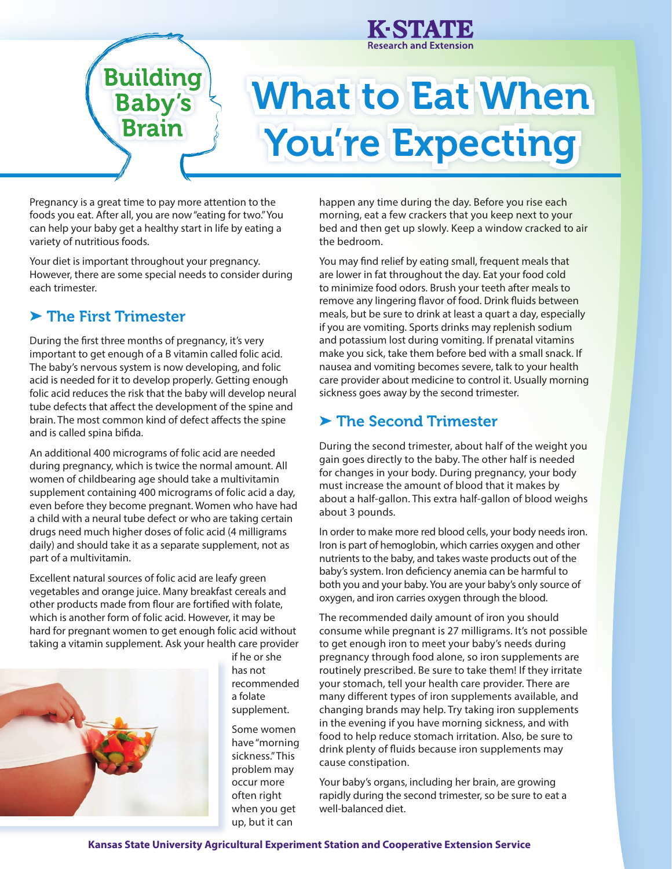

**Building Baby's** 

**Brain** 

# What to Eat When You're Expecting

Pregnancy is a great time to pay more attention to the foods you eat. After all, you are now "eating for two." You can help your baby get a healthy start in life by eating a variety of nutritious foods.

Your diet is important throughout your pregnancy. However, there are some special needs to consider during each trimester.

## ➤ The First Trimester

During the first three months of pregnancy, it's very important to get enough of a B vitamin called folic acid. The baby's nervous system is now developing, and folic acid is needed for it to develop properly. Getting enough folic acid reduces the risk that the baby will develop neural tube defects that affect the development of the spine and brain. The most common kind of defect affects the spine and is called spina bifida.

An additional 400 micrograms of folic acid are needed during pregnancy, which is twice the normal amount. All women of childbearing age should take a multivitamin supplement containing 400 micrograms of folic acid a day, even before they become pregnant. Women who have had a child with a neural tube defect or who are taking certain drugs need much higher doses of folic acid (4 milligrams daily) and should take it as a separate supplement, not as part of a multivitamin.

Excellent natural sources of folic acid are leafy green vegetables and orange juice. Many breakfast cereals and other products made from flour are fortified with folate, which is another form of folic acid. However, it may be hard for pregnant women to get enough folic acid without taking a vitamin supplement. Ask your health care provider



if he or she has not recommended a folate supplement. Some women have "morning sickness." This problem may occur more often right when you get up, but it can

happen any time during the day. Before you rise each morning, eat a few crackers that you keep next to your bed and then get up slowly. Keep a window cracked to air the bedroom.

You may find relief by eating small, frequent meals that are lower in fat throughout the day. Eat your food cold to minimize food odors. Brush your teeth after meals to remove any lingering flavor of food. Drink fluids between meals, but be sure to drink at least a quart a day, especially if you are vomiting. Sports drinks may replenish sodium and potassium lost during vomiting. If prenatal vitamins make you sick, take them before bed with a small snack. If nausea and vomiting becomes severe, talk to your health care provider about medicine to control it. Usually morning sickness goes away by the second trimester.

#### ▶ The Second Trimester

During the second trimester, about half of the weight you gain goes directly to the baby. The other half is needed for changes in your body. During pregnancy, your body must increase the amount of blood that it makes by about a half-gallon. This extra half-gallon of blood weighs about 3 pounds.

In order to make more red blood cells, your body needs iron. Iron is part of hemoglobin, which carries oxygen and other nutrients to the baby, and takes waste products out of the baby's system. Iron deficiency anemia can be harmful to both you and your baby. You are your baby's only source of oxygen, and iron carries oxygen through the blood.

The recommended daily amount of iron you should consume while pregnant is 27 milligrams. It's not possible to get enough iron to meet your baby's needs during pregnancy through food alone, so iron supplements are routinely prescribed. Be sure to take them! If they irritate your stomach, tell your health care provider. There are many different types of iron supplements available, and changing brands may help. Try taking iron supplements in the evening if you have morning sickness, and with food to help reduce stomach irritation. Also, be sure to drink plenty of fluids because iron supplements may cause constipation.

Your baby's organs, including her brain, are growing rapidly during the second trimester, so be sure to eat a well-balanced diet.